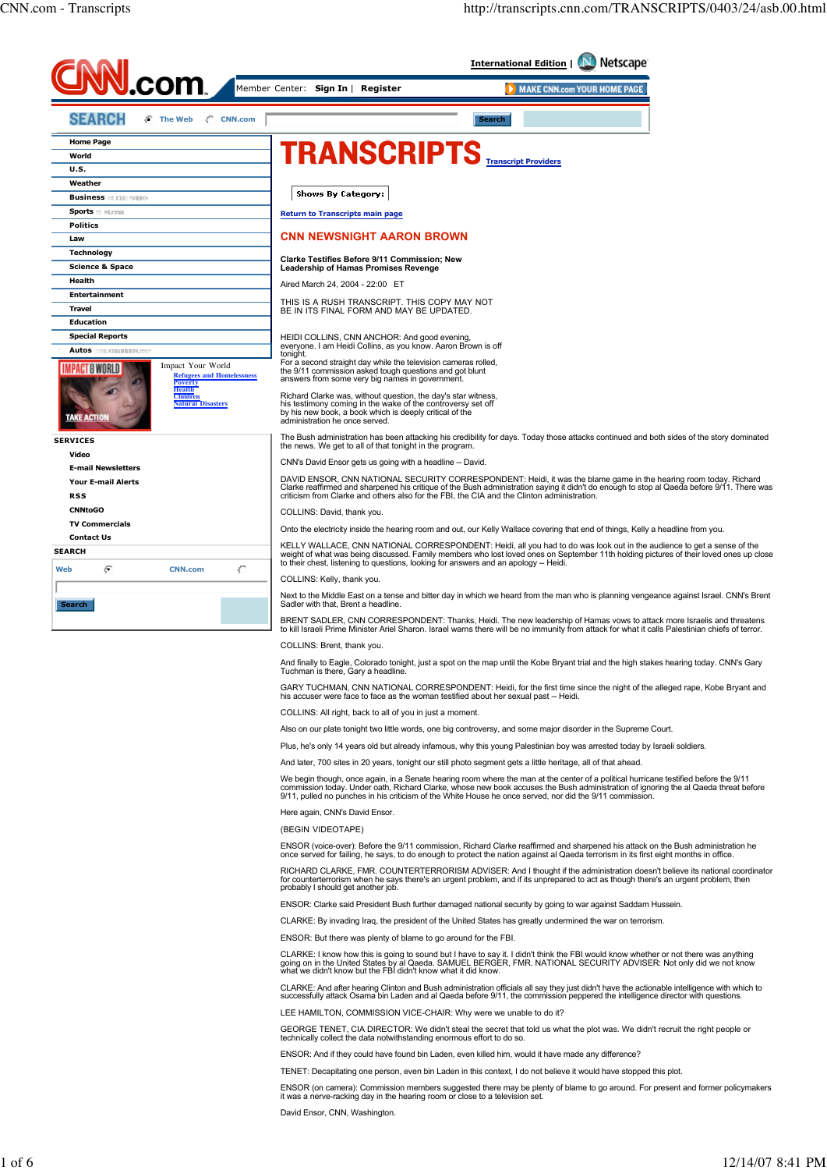

TENET: Decapitating one person, even bin Laden in this context, I do not believe it would have stopped this plot.

ENSOR (on camera): Commission members suggested there may be plenty of blame to go around. For present and former policymakers it was a nerve-racking day in the hearing room or close to a television set.

David Ensor, CNN, Washington.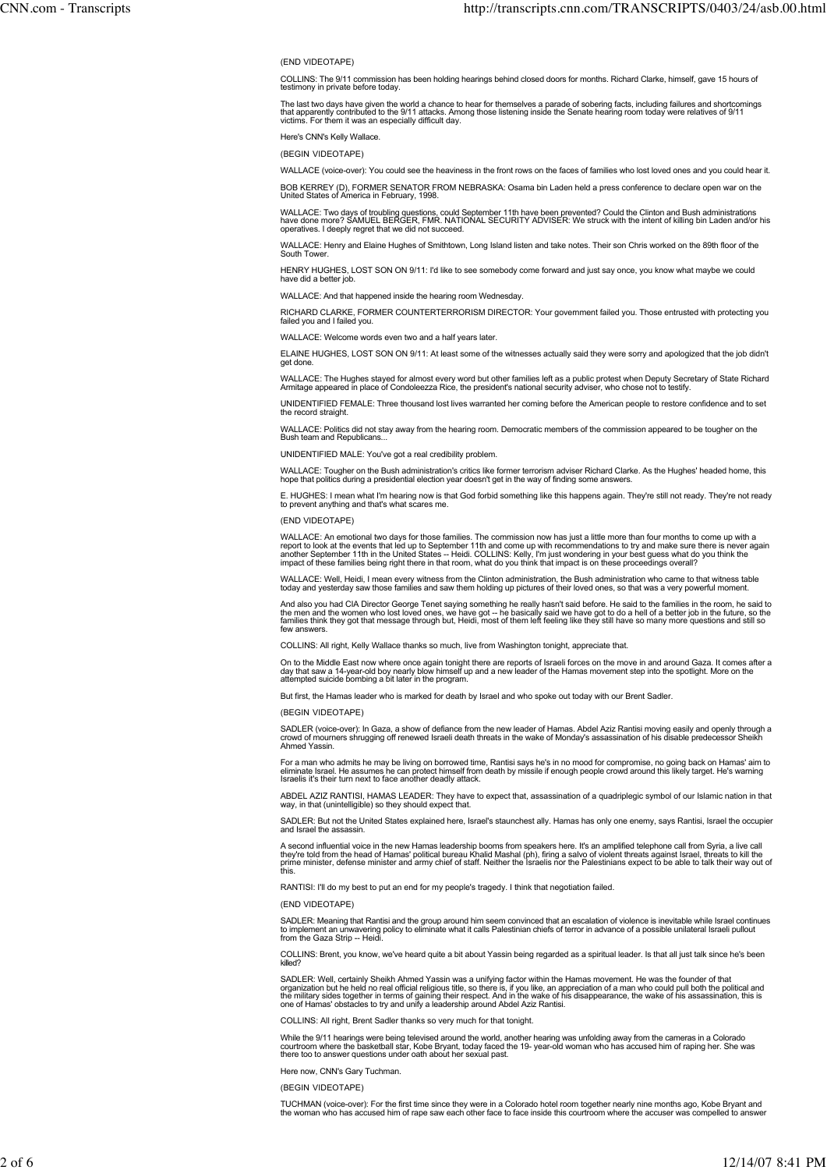## (END VIDEOTAPE)

COLLINS: The 9/11 commission has been holding hearings behind closed doors for months. Richard Clarke, himself, gave 15 hours of testimony in private before today.

The last two days have given the world a chance to hear for themselves a parade of sobering facts, including failures and shortcomings<br>that apparently contributed to the 9/11 attacks. Among those listening inside the Senat

Here's CNN's Kelly Wallace.

(BEGIN VIDEOTAPE)

WALLACE (voice-over): You could see the heaviness in the front rows on the faces of families who lost loved ones and you could hear it.

BOB KERREY (D), FORMER SENATOR FROM NEBRASKA: Osama bin Laden held a press conference to declare open war on the United States of America in February, 1998.

WALLACE: Two days of troubling questions, could September 11th have been prevented? Could the Clinton and Bush administrations<br>have done more? SAMUEL BERGER, FMR. NATIONAL SECURITY ADVISER: We struck with the intent of kil operatives. I deeply regret that we did not succeed.

WALLACE: Henry and Elaine Hughes of Smithtown, Long Island listen and take notes. Their son Chris worked on the 89th floor of the South Tower.

HENRY HUGHES, LOST SON ON 9/11: I'd like to see somebody come forward and just say once, you know what maybe we could have did a better job

WALLACE: And that happened inside the hearing room Wednesday.

RICHARD CLARKE, FORMER COUNTERTERRORISM DIRECTOR: Your government failed you. Those entrusted with protecting you failed you and I failed you.

WALLACE: Welcome words even two and a half years later.

ELAINE HUGHES, LOST SON ON 9/11: At least some of the witnesses actually said they were sorry and apologized that the job didn't get done.

WALLACE: The Hughes stayed for almost every word but other families left as a public protest when Deputy Secretary of State Richard<br>Armitage appeared in place of Condoleezza Rice, the president's national security adviser,

UNIDENTIFIED FEMALE: Three thousand lost lives warranted her coming before the American people to restore confidence and to set ...<br>e record straig

WALLACE: Politics did not stay away from the hearing room. Democratic members of the commission appeared to be tougher on the Bush team and Republicans...

UNIDENTIFIED MALE: You've got a real credibility problem.

WALLACE: Tougher on the Bush administration's critics like former terrorism adviser Richard Clarke. As the Hughes' headed home, this<br>hope that politics during a presidential election year doesn't get in the way of finding

E. HUGHES: I mean what I'm hearing now is that God forbid something like this happens again. They're still not ready. They're not ready to prevent anything and that's what scares me.

### (END VIDEOTAPE)

WALLACE: An emotional two days for those families. The commission now has just a little more than four months to come up with a<br>report to look at the events that led up to September 11th and come up with recommendations to

WALLACE: Well, Heidi, I mean every witness from the Clinton administration, the Bush administration who came to that witness table<br>today and yesterday saw those families and saw them holding up pictures of their loved ones

And also you had CIA Director George Tenet saying something he really hasn't said before. He said to the families in the room, he said to<br>the men and the women who lost loved ones, we have got -- he basically said we have few answers.

COLLINS: All right, Kelly Wallace thanks so much, live from Washington tonight, appreciate that.

On to the Middle East now where once again tonight there are reports of Israeli forces on the move in and around Gaza. It comes after a<br>day that saw a 14-year-old boy nearly blow himself up and a new leader of the Hamas mo

But first, the Hamas leader who is marked for death by Israel and who spoke out today with our Brent Sadler.

(BEGIN VIDEOTAPE)

SADLER (voice-over): In Gaza, a show of defiance from the new leader of Hamas. Abdel Aziz Rantisi moving easily and openly through a<br>crowd of mourners shrugging off renewed Israeli death threats in the wake of Monday's ass

For a man who admits he may be living on borrowed time, Rantisi says he's in no mood for compromise, no going back on Hamas' aim to<br>eliminate Israel. He assumes he can protect himself from death by missile if enough people

ABDEL AZIZ RANTISI, HAMAS LEADER: They have to expect that, assassination of a quadriplegic symbol of our Islamic nation in that way, in that (unintelligible) so they should expect that.

SADLER: But not the United States explained here, Israel's staunchest ally. Hamas has only one enemy, says Rantisi, Israel the occupier and Israel the assassing

A second influential voice in the new Hamas leadership booms from speakers here. It's an amplified telephone call from Syria, a live call<br>they're told from the head of Hamas' political bureau Khalid Mashal (ph), firing a s

RANTISI: I'll do my best to put an end for my people's tragedy. I think that negotiation failed.

## (END VIDEOTAPE)

SADLER: Meaning that Rantisi and the group around him seem convinced that an escalation of violence is inevitable while Israel continues<br>to implement an unwavering policy to eliminate what it calls Palestinian chiefs of te

COLLINS: Brent, you know, we've heard quite a bit about Yassin being regarded as a spiritual leader. Is that all just talk since he's been killed?

SADLER: Well, certainly Sheikh Ahmed Yassin was a unifying factor within the Hamas movement. He was the founder of that<br>organization but he held no real official religious title, so there is, if you like, an appreciation o

COLLINS: All right, Brent Sadler thanks so very much for that tonight.

While the 9/11 hearings were being televised around the world, another hearing was unfolding away from the cameras in a Colorado<br>courtroom where the basketball star, Kobe Bryant, today faced the 19- year-old woman who has

Here now, CNN's Gary Tuchman.

(BEGIN VIDEOTAPE)

TUCHMAN (voice-over): For the first time since they were in a Colorado hotel room together nearly nine months ago, Kobe Bryant and<br>the woman who has accused him of rape saw each other face to face inside this courtroom whe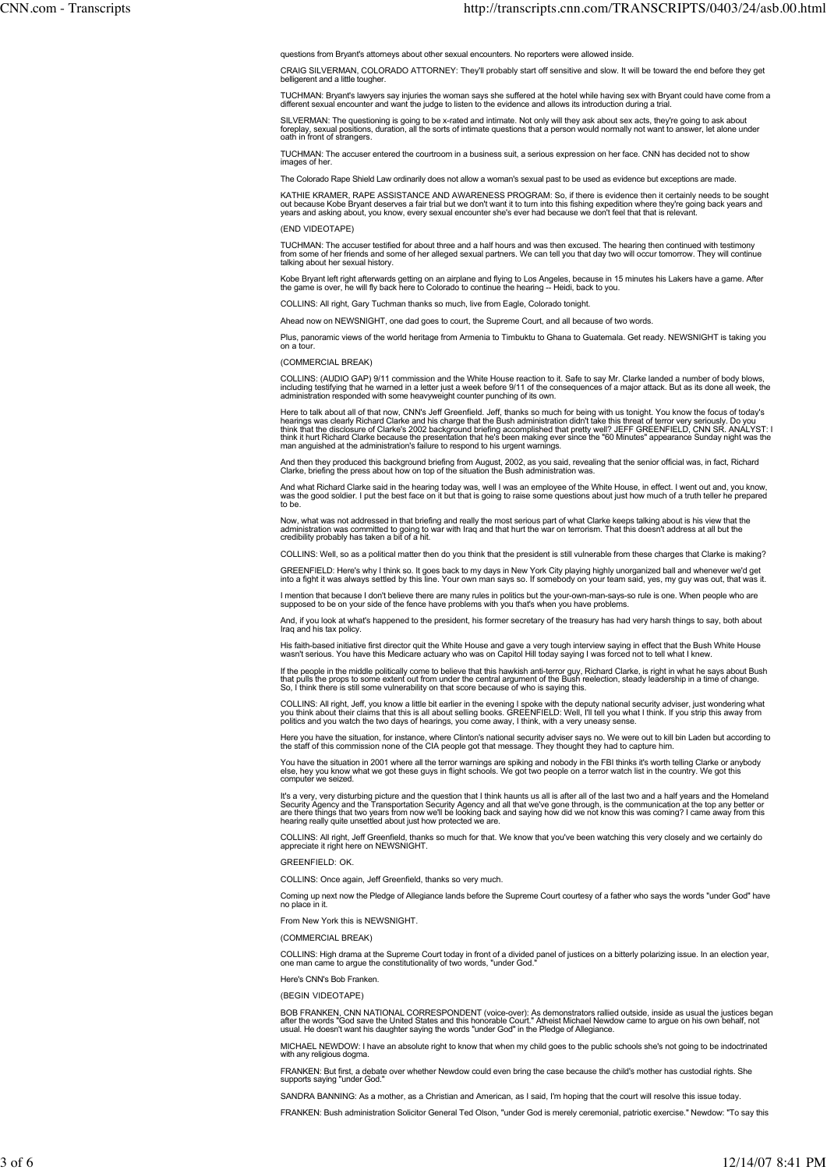questions from Bryant's attorneys about other sexual encounters. No reporters were allowed inside.

CRAIG SILVERMAN, COLORADO ATTORNEY: They'll probably start off sensitive and slow. It will be toward the end before they get belligerent and a little tougher

TUCHMAN: Bryant's lawyers say injuries the woman says she suffered at the hotel while having sex with Bryant could have come from a<br>different sexual encounter and want the judge to listen to the evidence and allows its int

SILVERMAN: The questioning is going to be x-rated and intimate. Not only will they ask about sex acts, they're going to ask about<br>foreplay, sexual positions, duration, all the sorts of intimate questions that a person woul

TUCHMAN: The accuser entered the courtroom in a business suit, a serious expression on her face. CNN has decided not to show images of her.

The Colorado Rape Shield Law ordinarily does not allow a woman's sexual past to be used as evidence but exceptions are mad

KATHIE KRAMER, RAPE ASSISTANCE AND AWARENESS PROGRAM: So, if there is evidence then it certainly needs to be sought<br>out because Kobe Bryant deserves a fair trial but we don't want it to turn into this fishing expedition wh

# (END VIDEOTAPE)

TUCHMAN: The accuser testified for about three and a half hours and was then excused. The hearing then continued with testimony<br>from some of her friends and some of her alleged sexual partners. We can tell you that day two talking about her sexual history.

Kobe Bryant left right afterwards getting on an airplane and flying to Los Angeles, because in 15 minutes his Lakers have a game. After<br>the game is over, he will fly back here to Colorado to continue the hearing -- Heidi,

COLLINS: All right, Gary Tuchman thanks so much, live from Eagle, Colorado tonight.

Ahead now on NEWSNIGHT, one dad goes to court, the Supreme Court, and all because of two words.

Plus, panoramic views of the world heritage from Armenia to Timbuktu to Ghana to Guatemala. Get ready. NEWSNIGHT is taking you on a tour.

#### (COMMERCIAL BREAK)

COLLINS: (AUDIO GAP) 9/11 commission and the White House reaction to it. Safe to say Mr. Clarke landed a number of body blows,<br>including testifying that he warned in a letter just a week before 9/11 of the consequences of

Here to talk about all of that now, CNN's Jeff Greenfield. Jeff, thanks so much for being with us tonight. You know the focus of today's<br>hearings was clearly Richard Clarke and his charge that the Bush administration didn'

And then they produced this background briefing from August, 2002, as you said, revealing that the senior official was, in fact, Richard<br>Clarke, briefing the press about how on top of the situation the Bush administration

And what Richard Clarke said in the hearing today was, well I was an employee of the White House, in effect. I went out and, you know,<br>was the good soldier. I put the best face on it but that is going to raise some questio to be.

Now, what was not addressed in that briefing and really the most serious part of what Clarke keeps talking about is his view that the<br>administration was committed to going to war with Iraq and that hurt the war on terroris

COLLINS: Well, so as a political matter then do you think that the president is still vulnerable from these charges that Clarke is making?

GREENFIELD: Here's why I think so. It goes back to my days in New York City playing highly unorganized ball and whenever we'd get<br>into a fight it was always settled by this line. Your own man says so. If somebody on your t

l mention that because I don't believe there are many rules in politics but the your-own-man-says-so rule is one. When people who are<br>supposed to be on your side of the fence have problems with you that's when you have pro

And, if you look at what's happened to the president, his former secretary of the treasury has had very harsh things to say, both about Iraq and his tax policy.

His faith-based initiative first director quit the White House and gave a very tough interview saying in effect that the Bush White House<br>wasn't serious. You have this Medicare actuary who was on Capitol Hill today saying

If the people in the middle politically come to believe that this hawkish anti-terror guy, Richard Clarke, is right in what he says about Bush<br>that pulls the props to some extent out from under the central argument of the

COLLINS: All right, Jeff, you know a little bit earlier in the evening I spoke with the deputy national security adviser, just wondering what<br>you think about their claims that this is all about selling books. GREENFIELD: W

Here you have the situation, for instance, where Clinton's national security adviser says no. We were out to kill bin Laden but according to<br>the staff of this commission none of the CIA people got that message. They though

You have the situation in 2001 where all the terror warnings are spiking and nobody in the FBI thinks it's worth telling Clarke or anybody<br>else, hey you know what we got these guys in flight schools. We got two people on a

It's a very, very disturbing picture and the question that I think haunts us all is after all of the last two and a half years and the Homeland<br>Security Agency and the Transportation Security Agency and all that we've gone

COLLINS: All right, Jeff Greenfield, thanks so much for that. We know that you've been watching this very closely and we certainly do appreciate it right here on NEWSNIGHT.

GREENFIELD: OK.

COLLINS: Once again, Jeff Greenfield, thanks so very much.

Coming up next now the Pledge of Allegiance lands before the Supreme Court courtesy of a father who says the words "under God" have no place in it.

From New York this is NEWSNIGHT.

(COMMERCIAL BREAK)

COLLINS: High drama at the Supreme Court today in front of a divided panel of justices on a bitterly polarizing issue. In an election year, one man came to argue the constitutionality of two words, "under God."

Here's CNN's Bob Franken.

(BEGIN VIDEOTAPE)

BOB FRANKEN, CNN NATIONAL CORRESPONDENT (voice-over): As demonstrators rallied outside, inside as usual the justices began<br>after the words "God save the United States and this honorable Court." Atheist Michael Newdow came

MICHAEL NEWDOW: I have an absolute right to know that when my child goes to the public schools she's not going to be indoctrinated with any religious dogma.

FRANKEN: But first, a debate over whether Newdow could even bring the case because the child's mother has custodial rights. She supports saying "under God."

SANDRA BANNING: As a mother, as a Christian and American, as I said, I'm hoping that the court will resolve this issue today.

FRANKEN: Bush administration Solicitor General Ted Olson, "under God is merely ceremonial, patriotic exercise." Newdow: "To say this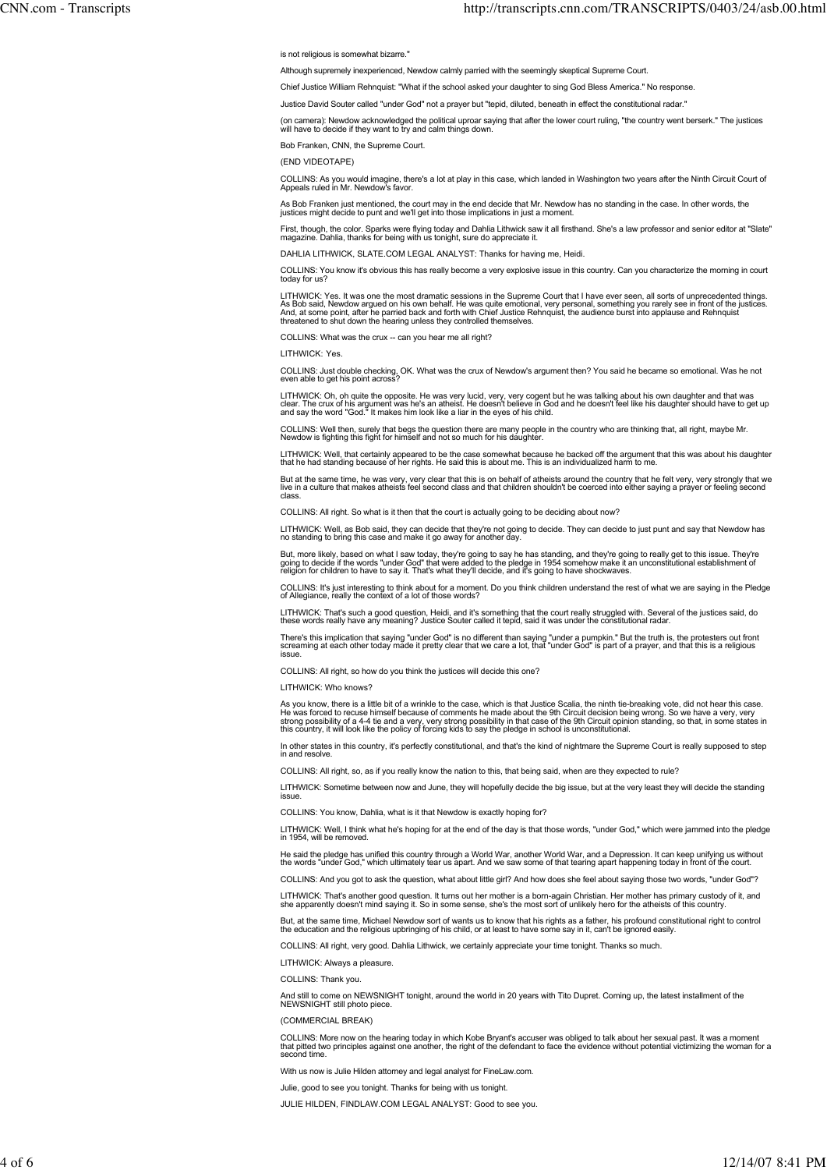is not religious is somewhat bizarre."

Although supremely inexperienced, Newdow calmly parried with the seemingly skeptical Supreme Court.

Chief Justice William Rehnquist: "What if the school asked your daughter to sing God Bless America." No response.

Justice David Souter called "under God" not a prayer but "tepid, diluted, beneath in effect the constitutional radar."

(on camera): Newdow acknowledged the political uproar saying that after the lower court ruling, "the country went berserk." The justices will have to decide if they want to try and calm things down.

Bob Franken, CNN, the Supreme Court.

(END VIDEOTAPE)

COLLINS: As you would imagine, there's a lot at play in this case, which landed in Washington two years after the Ninth Circuit Court of Appeals ruled in Mr. Newdow's favor.

As Bob Franken just mentioned, the court may in the end decide that Mr. Newdow has no standing in the case. In other words, the<br>justices might decide to punt and we'll get into those implications in just a moment.

First, though, the color. Sparks were flying today and Dahlia Lithwick saw it all firsthand. She's a law professor and senior editor at "Slate'<br>magazine. Dahlia, thanks for being with us tonight, sure do appreciate it.

DAHLIA LITHWICK, SLATE.COM LEGAL ANALYST: Thanks for having me, Heidi.

COLLINS: You know it's obvious this has really become a very explosive issue in this country. Can you characterize the morning in court today for us?

LITHWICK: Yes. It was one the most dramatic sessions in the Supreme Court that I have ever seen, all sorts of unprecedented things.<br>As Bob said, Newdow argued on his own behalf. He was quite emotional, very personal, somet

COLLINS: What was the crux -- can you hear me all right?

LITHWICK: Yes.

COLLINS: Just double checking, OK. What was the crux of Newdow's argument then? You said he became so emotional. Was he not even able to get his point across?

LITHWICK: Oh, oh quite the opposite. He was very lucid, very, very cogent but he was talking about his own daughter and that was<br>clear. The crux of his argument was he's an atheist. He doesn't believe in God and he doesn't

COLLINS: Well then, surely that begs the question there are many people in the country who are thinking that, all right, maybe Mr. Newdow is fighting this fight for himself and not so much for his daughter.

LITHWICK: Well, that certainly appeared to be the case somewhat because he backed off the argument that this was about his daughtei<br>that he had standing because of her rights. He said this is about me. This is an individua

But at the same time, he was very, very clear that this is on behalf of atheists around the country that he felt very, very strongly that we<br>live in a culture that makes atheists feel second class and that children shouldn

COLLINS: All right. So what is it then that the court is actually going to be deciding about now?

LITHWICK: Well, as Bob said, they can decide that they're not going to decide. They can decide to just punt and say that Newdow has no standing to bring this case and make it go away for another day.

But, more likely, based on what I saw today, they're going to say he has standing, and they're going to really get to this issue. They're<br>going to decide if the words "under God" that were added to the pledge in 1954 someh

COLLINS: It's just interesting to think about for a moment. Do you think children understand the rest of what we are saying in the Pledge of Allegiance, really the context of a lot of those words?

LITHWICK: That's such a good question, Heidi, and it's something that the court really struggled with. Several of the justices said, do<br>these words really have any meaning? Justice Souter called it tepid, said it was under

There's this implication that saying "under God" is no different than saying "under a pumpkin." But the truth is, the protesters out fronl<br>screaming at each other today made it pretty clear that we care a lot, that "under

COLLINS: All right, so how do you think the justices will decide this one?

LITHWICK: Who knows?

As you know, there is a little bit of a wrinkle to the case, which is that Justice Scalia, the ninth tie-breaking vote, did not hear this case.<br>He was forced to recuse himself because of comments he made about the 9th Circ

In other states in this country, it's perfectly constitutional, and that's the kind of nightmare the Supreme Court is really supposed to step in and resolve.

COLLINS: All right, so, as if you really know the nation to this, that being said, when are they expected to rule?

LITHWICK: Sometime between now and June, they will hopefully decide the big issue, but at the very least they will decide the standing issue.

COLLINS: You know, Dahlia, what is it that Newdow is exactly hoping for?

LITHWICK: Well, I think what he's hoping for at the end of the day is that those words, "under God," which were jammed into the pledge in 1954, will be removed.

He said the pledge has unified this country through a World War, another World War, and a Depression. It can keep unifying us without<br>the words "under God," which ultimately tear us apart. And we saw some of that tearing a

COLLINS: And you got to ask the question, what about little girl? And how does she feel about saying those two words, "under God"?

LITHWICK: That's another good question. It turns out her mother is a born-again Christian. Her mother has primary custody of it, and<br>she apparently doesn't mind saying it. So in some sense, she's the most sort of unlikely

But, at the same time, Michael Newdow sort of wants us to know that his rights as a father, his profound constitutional right to control<br>the education and the religious upbringing of his child, or at least to have some say

COLLINS: All right, very good. Dahlia Lithwick, we certainly appreciate your time tonight. Thanks so much.

LITHWICK: Always a pleasure.

COLLINS: Thank you.

And still to come on NEWSNIGHT tonight, around the world in 20 years with Tito Dupret. Coming up, the latest installment of the NEWSNIGHT still photo piece.

(COMMERCIAL BREAK)

COLLINS: More now on the hearing today in which Kobe Bryant's accuser was obliged to talk about her sexual past. It was a moment<br>that pitted two principles against one another, the right of the defendant to face the eviden second time.

With us now is Julie Hilden attorney and legal analyst for FineLaw.com.

Julie, good to see you tonight. Thanks for being with us tonight.

JULIE HILDEN, FINDLAW.COM LEGAL ANALYST: Good to see you.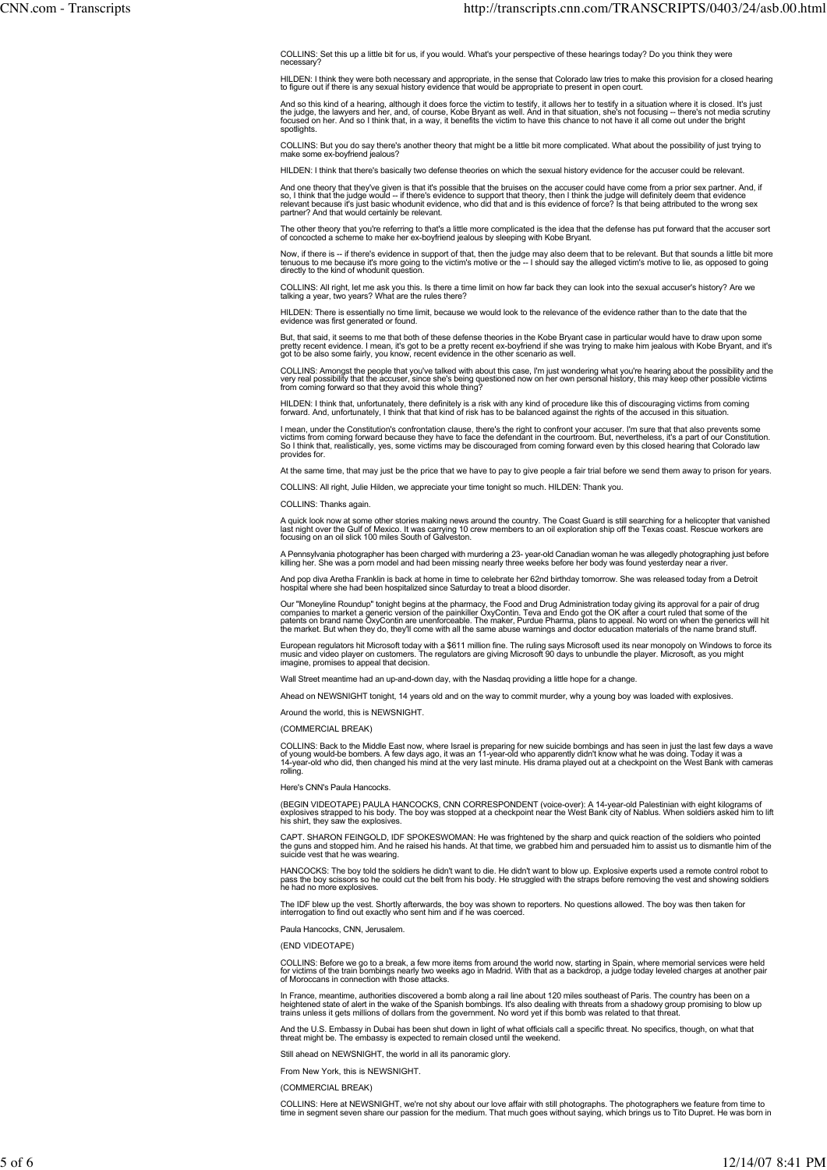COLLINS: Set this up a little bit for us, if you would. What's your perspective of these hearings today? Do you think they were necessary?

HILDEN: I think they were both necessary and appropriate, in the sense that Colorado law tries to make this provision for a closed hearing<br>to figure out if there is any sexual history evidence that would be appropriate to

And so this kind of a hearing, although it does force the victim to testify, it allows her to testify in a situation where it is closed. It's just<br>the judge, the lawyers and her, and, of course, Kobe Bryant as well. And in spotlights

COLLINS: But you do say there's another theory that might be a little bit more complicated. What about the possibility of just trying to make some ex-boyfriend jealous?

HILDEN: I think that there's basically two defense theories on which the sexual history evidence for the accuser could be relevant.

And one theory that they've given is that it's possible that the bruises on the accuser could have come from a prior sex partner. And, it<br>so, I think that the judge would -- if there's evidence to support that theory, then

The other theory that you're referring to that's a little more complicated is the idea that the defense has put forward that the accuser sort<br>of concocted a scheme to make her ex-boyfriend jealous by sleeping with Kobe Bry

Now, if there is -- if there's evidence in support of that, then the judge may also deem that to be relevant. But that sounds a little bit more<br>tenuous to me because it's more going to the victim's motive or the -- I shoul

COLLINS: All right, let me ask you this. Is there a time limit on how far back they can look into the sexual accuser's history? Are we talking a year, two years? What are the rules there?

HILDEN: There is essentially no time limit, because we would look to the relevance of the evidence rather than to the date that the evidence was first generated or found.

But, that said, it seems to me that both of these defense theories in the Kobe Bryant case in particular would have to draw upon some<br>pretty recent evidence. I mean, it's got to be a pretty recent ex-boyfriend if she was t

COLLINS: Amongst the people that you've talked with about this case, I'm just wondering what you're hearing about the possibility and the<br>very real possibility that the accuser, since she's being questioned now on her own

HILDEN: I think that, unfortunately, there definitely is a risk with any kind of procedure like this of discouraging victims from coming<br>forward. And, unfortunately, I think that that kind of risk has to be balanced agains

l mean, under the Constitution's confrontation clause, there's the right to confront your accuser. I'm sure that that also prevents some<br>victims from coming forward because they have to face the defendant in the courtroom. provides for.

At the same time, that may just be the price that we have to pay to give people a fair trial before we send them away to prison for years.

COLLINS: All right, Julie Hilden, we appreciate your time tonight so much. HILDEN: Thank you.

COLLINS: Thanks again.

A quick look now at some other stories making news around the country. The Coast Guard is still searching for a helicopter that vanishec<br>last night over the Gulf of Mexico. It was carrying 10 crew members to an oil explora

A Pennsylvania photographer has been charged with murdering a 23- year-old Canadian woman he was allegedly photographing just before<br>killing her. She was a porn model and had been missing nearly three weeks before her body

And pop diva Aretha Franklin is back at home in time to celebrate her 62nd birthday tomorrow. She was released today from a Detroit hospital where she had been hospitalized since Saturday to treat a blood disorder.

Our "Moneyline Roundup" tonight begins at the pharmacy, the Food and Drug Administration today giving its approval for a pair of drug<br>parplies to market a generic version of the painkiller OxyContin. Teva and Endo got the

European regulators hit Microsoft today with a \$611 million fine. The ruling says Microsoft used its near monopoly on Windows to force its<br>music and video player on customers. The regulators are giving Microsoft 90 days to

Wall Street meantime had an up-and-down day, with the Nasdaq providing a little hope for a change

Ahead on NEWSNIGHT tonight, 14 years old and on the way to commit murder, why a young boy was loaded with explosives.

Around the world, this is NEWSNIGHT.

(COMMERCIAL BREAK)

COLLINS: Back to the Middle East now, where Israel is preparing for new suicide bombings and has seen in just the last few days a wave<br>of young would-be bombers. A few days ago, it was an 11-year-old who apparently didn't rolling.

Here's CNN's Paula Hancocks.

(BEGIN VIDEOTAPE) PAULA HANCOCKS, CNN CORRESPONDENT (voice-over): A 14-year-old Palestinian with eight kilograms of<br>explosives strapped to his body. The boy was stopped at a checkpoint near the West Bank city of Nablus. Wh

CAPT. SHARON FEINGOLD, IDF SPOKESWOMAN: He was frightened by the sharp and quick reaction of the soldiers who pointed<br>the guns and stopped him. And he raised his hands. At that time, we grabbed him and persuaded him to ass

HANCOCKS: The boy told the soldiers he didn't want to die. He didn't want to blow up. Explosive experts used a remote control robot to<br>pass the boy scissors so he could cut the belt from his body. He struggled with the str pass the boy scissors so not<br>he had no more explosives.

The IDF blew up the vest. Shortly afterwards, the boy was shown to reporters. No questions allowed. The boy was then taken for interrogation to find out exactly who sent him and if he was coerced.

Paula Hancocks, CNN, Jerusalem.

(END VIDEOTAPE)

COLLINS: Before we go to a break, a few more items from around the world now, starting in Spain, where memorial services were held<br>for victims of the train bombings nearly two weeks ago in Madrid. With that as a backdrop,

In France, meantime, authorities discovered a bomb along a rail line about 120 miles southeast of Paris. The country has been on a<br>heightened state of alert in the wake of the Spanish bombings. It's also dealing with threa

And the U.S. Embassy in Dubai has been shut down in light of what officials call a specific threat. No specifics, though, on what that threat might be. The embassy is expected to remain closed until the weekend.

Still ahead on NEWSNIGHT, the world in all its panoramic glory.

From New York, this is NEWSNIGHT.

(COMMERCIAL BREAK)

COLLINS: Here at NEWSNIGHT, we're not shy about our love affair with still photographs. The photographers we feature from time to<br>time in segment seven share our passion for the medium. That much goes without saying, which